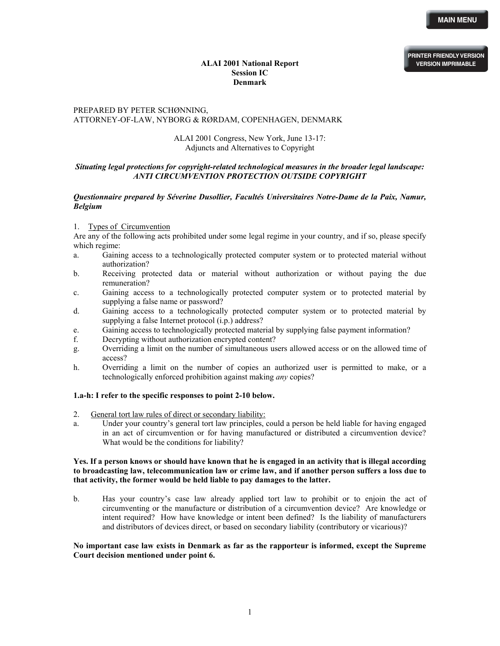**PRINTER FRIENDLY VERSION VERSION IMPRIMABLE**

# **ALAI 2001 National Report Session IC Denmark**

# PREPARED BY PETER SCHØNNING, ATTORNEY-OF-LAW, NYBORG & RØRDAM, COPENHAGEN, DENMARK

# ALAI 2001 Congress, New York, June 13-17: Adjuncts and Alternatives to Copyright

## *Situating legal protections for copyright-related technological measures in the broader legal landscape: ANTI CIRCUMVENTION PROTECTION OUTSIDE COPYRIGHT*

## *Questionnaire prepared by Séverine Dusollier, Facultés Universitaires Notre-Dame de la Paix, Namur, Belgium*

## 1. Types of Circumvention

Are any of the following acts prohibited under some legal regime in your country, and if so, please specify which regime:

- a. Gaining access to a technologically protected computer system or to protected material without authorization?
- b. Receiving protected data or material without authorization or without paying the due remuneration?
- c. Gaining access to a technologically protected computer system or to protected material by supplying a false name or password?
- d. Gaining access to a technologically protected computer system or to protected material by supplying a false Internet protocol (i.p.) address?
- e. Gaining access to technologically protected material by supplying false payment information?
- f. Decrypting without authorization encrypted content?
- g. Overriding a limit on the number of simultaneous users allowed access or on the allowed time of access?
- h. Overriding a limit on the number of copies an authorized user is permitted to make, or a technologically enforced prohibition against making *any* copies?

## **1.a-h: I refer to the specific responses to point 2-10 below.**

- 2. General tort law rules of direct or secondary liability:
- a. Under your country's general tort law principles, could a person be held liable for having engaged in an act of circumvention or for having manufactured or distributed a circumvention device? What would be the conditions for liability?

## **Yes. If a person knows or should have known that he is engaged in an activity that is illegal according to broadcasting law, telecommunication law or crime law, and if another person suffers a loss due to that activity, the former would be held liable to pay damages to the latter.**

b. Has your country's case law already applied tort law to prohibit or to enjoin the act of circumventing or the manufacture or distribution of a circumvention device? Are knowledge or intent required? How have knowledge or intent been defined? Is the liability of manufacturers and distributors of devices direct, or based on secondary liability (contributory or vicarious)?

## **No important case law exists in Denmark as far as the rapporteur is informed, except the Supreme Court decision mentioned under point 6.**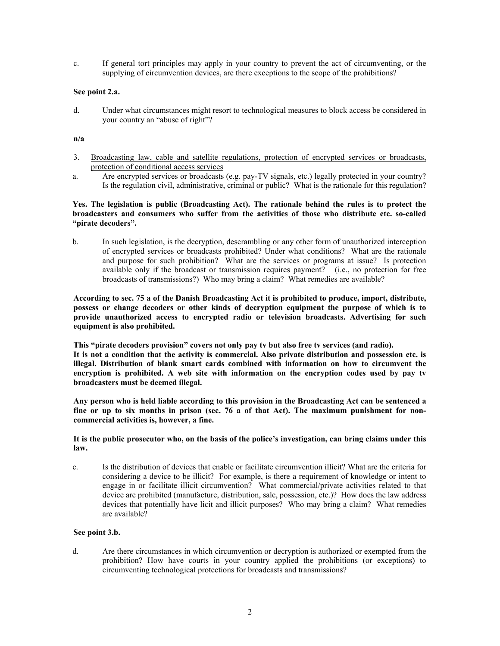c. If general tort principles may apply in your country to prevent the act of circumventing, or the supplying of circumvention devices, are there exceptions to the scope of the prohibitions?

## **See point 2.a.**

d. Under what circumstances might resort to technological measures to block access be considered in your country an "abuse of right"?

## **n/a**

- 3. Broadcasting law, cable and satellite regulations, protection of encrypted services or broadcasts, protection of conditional access services
- a. Are encrypted services or broadcasts (e.g. pay-TV signals, etc.) legally protected in your country? Is the regulation civil, administrative, criminal or public? What is the rationale for this regulation?

## **Yes. The legislation is public (Broadcasting Act). The rationale behind the rules is to protect the broadcasters and consumers who suffer from the activities of those who distribute etc. so-called "pirate decoders".**

b. In such legislation, is the decryption, descrambling or any other form of unauthorized interception of encrypted services or broadcasts prohibited? Under what conditions? What are the rationale and purpose for such prohibition? What are the services or programs at issue? Is protection available only if the broadcast or transmission requires payment? (i.e., no protection for free broadcasts of transmissions?) Who may bring a claim? What remedies are available?

**According to sec. 75 a of the Danish Broadcasting Act it is prohibited to produce, import, distribute, possess or change decoders or other kinds of decryption equipment the purpose of which is to provide unauthorized access to encrypted radio or television broadcasts. Advertising for such equipment is also prohibited.** 

**This "pirate decoders provision" covers not only pay tv but also free tv services (and radio). It is not a condition that the activity is commercial. Also private distribution and possession etc. is illegal. Distribution of blank smart cards combined with information on how to circumvent the encryption is prohibited. A web site with information on the encryption codes used by pay tv broadcasters must be deemed illegal.** 

**Any person who is held liable according to this provision in the Broadcasting Act can be sentenced a fine or up to six months in prison (sec. 76 a of that Act). The maximum punishment for noncommercial activities is, however, a fine.** 

## **It is the public prosecutor who, on the basis of the police's investigation, can bring claims under this law.**

c. Is the distribution of devices that enable or facilitate circumvention illicit? What are the criteria for considering a device to be illicit? For example, is there a requirement of knowledge or intent to engage in or facilitate illicit circumvention? What commercial/private activities related to that device are prohibited (manufacture, distribution, sale, possession, etc.)? How does the law address devices that potentially have licit and illicit purposes? Who may bring a claim? What remedies are available?

### **See point 3.b.**

d. Are there circumstances in which circumvention or decryption is authorized or exempted from the prohibition? How have courts in your country applied the prohibitions (or exceptions) to circumventing technological protections for broadcasts and transmissions?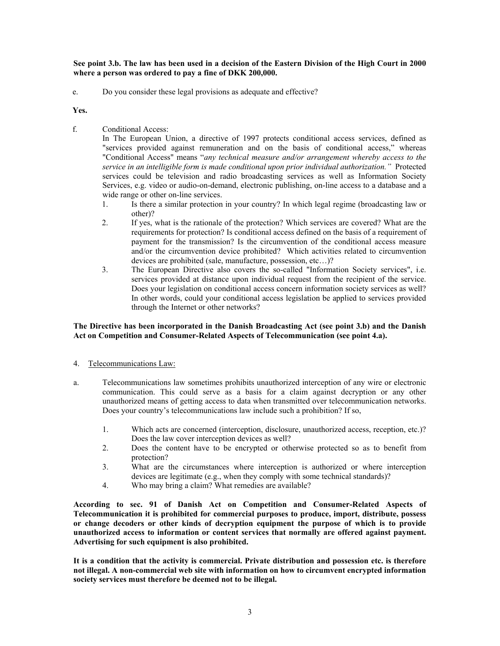**See point 3.b. The law has been used in a decision of the Eastern Division of the High Court in 2000 where a person was ordered to pay a fine of DKK 200,000.** 

e. Do you consider these legal provisions as adequate and effective?

## **Yes.**

f. Conditional Access:

In The European Union, a directive of 1997 protects conditional access services, defined as "services provided against remuneration and on the basis of conditional access," whereas "Conditional Access" means "*any technical measure and/or arrangement whereby access to the service in an intelligible form is made conditional upon prior individual authorization."* Protected services could be television and radio broadcasting services as well as Information Society Services, e.g. video or audio-on-demand, electronic publishing, on-line access to a database and a wide range or other on-line services.

- 1. Is there a similar protection in your country? In which legal regime (broadcasting law or other)?
- 2. If yes, what is the rationale of the protection? Which services are covered? What are the requirements for protection? Is conditional access defined on the basis of a requirement of payment for the transmission? Is the circumvention of the conditional access measure and/or the circumvention device prohibited? Which activities related to circumvention devices are prohibited (sale, manufacture, possession, etc…)?
- 3. The European Directive also covers the so-called "Information Society services", i.e. services provided at distance upon individual request from the recipient of the service. Does your legislation on conditional access concern information society services as well? In other words, could your conditional access legislation be applied to services provided through the Internet or other networks?

## **The Directive has been incorporated in the Danish Broadcasting Act (see point 3.b) and the Danish Act on Competition and Consumer-Related Aspects of Telecommunication (see point 4.a).**

- 4. Telecommunications Law:
- a. Telecommunications law sometimes prohibits unauthorized interception of any wire or electronic communication. This could serve as a basis for a claim against decryption or any other unauthorized means of getting access to data when transmitted over telecommunication networks. Does your country's telecommunications law include such a prohibition? If so,
	- 1. Which acts are concerned (interception, disclosure, unauthorized access, reception, etc.)? Does the law cover interception devices as well?
	- 2. Does the content have to be encrypted or otherwise protected so as to benefit from protection?
	- 3. What are the circumstances where interception is authorized or where interception devices are legitimate (e.g., when they comply with some technical standards)?
	- 4. Who may bring a claim? What remedies are available?

**According to sec. 91 of Danish Act on Competition and Consumer-Related Aspects of Telecommunication it is prohibited for commercial purposes to produce, import, distribute, possess or change decoders or other kinds of decryption equipment the purpose of which is to provide unauthorized access to information or content services that normally are offered against payment. Advertising for such equipment is also prohibited.** 

**It is a condition that the activity is commercial. Private distribution and possession etc. is therefore not illegal. A non-commercial web site with information on how to circumvent encrypted information society services must therefore be deemed not to be illegal.**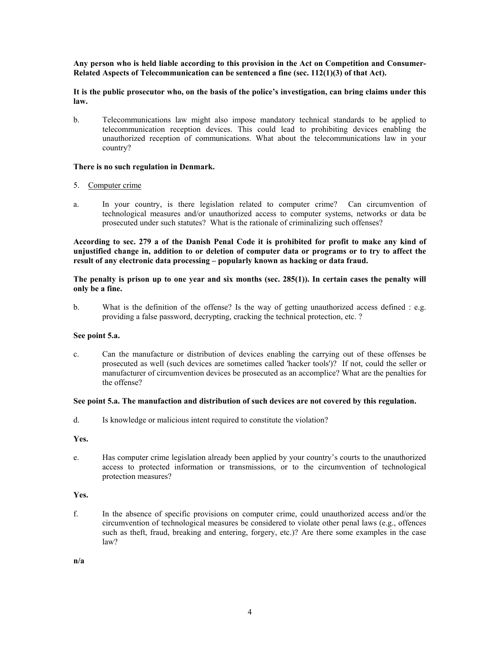**Any person who is held liable according to this provision in the Act on Competition and Consumer-Related Aspects of Telecommunication can be sentenced a fine (sec. 112(1)(3) of that Act).** 

**It is the public prosecutor who, on the basis of the police's investigation, can bring claims under this law.** 

b. Telecommunications law might also impose mandatory technical standards to be applied to telecommunication reception devices. This could lead to prohibiting devices enabling the unauthorized reception of communications. What about the telecommunications law in your country?

## **There is no such regulation in Denmark.**

## 5. Computer crime

a. In your country, is there legislation related to computer crime? Can circumvention of technological measures and/or unauthorized access to computer systems, networks or data be prosecuted under such statutes? What is the rationale of criminalizing such offenses?

**According to sec. 279 a of the Danish Penal Code it is prohibited for profit to make any kind of unjustified change in, addition to or deletion of computer data or programs or to try to affect the result of any electronic data processing – popularly known as hacking or data fraud.** 

**The penalty is prison up to one year and six months (sec. 285(1)). In certain cases the penalty will only be a fine.** 

b. What is the definition of the offense? Is the way of getting unauthorized access defined : e.g. providing a false password, decrypting, cracking the technical protection, etc. ?

### **See point 5.a.**

c. Can the manufacture or distribution of devices enabling the carrying out of these offenses be prosecuted as well (such devices are sometimes called 'hacker tools')? If not, could the seller or manufacturer of circumvention devices be prosecuted as an accomplice? What are the penalties for the offense?

# **See point 5.a. The manufaction and distribution of such devices are not covered by this regulation.**

d. Is knowledge or malicious intent required to constitute the violation?

### **Yes.**

e. Has computer crime legislation already been applied by your country's courts to the unauthorized access to protected information or transmissions, or to the circumvention of technological protection measures?

### **Yes.**

f. In the absence of specific provisions on computer crime, could unauthorized access and/or the circumvention of technological measures be considered to violate other penal laws (e.g., offences such as theft, fraud, breaking and entering, forgery, etc.)? Are there some examples in the case law?

**n/a**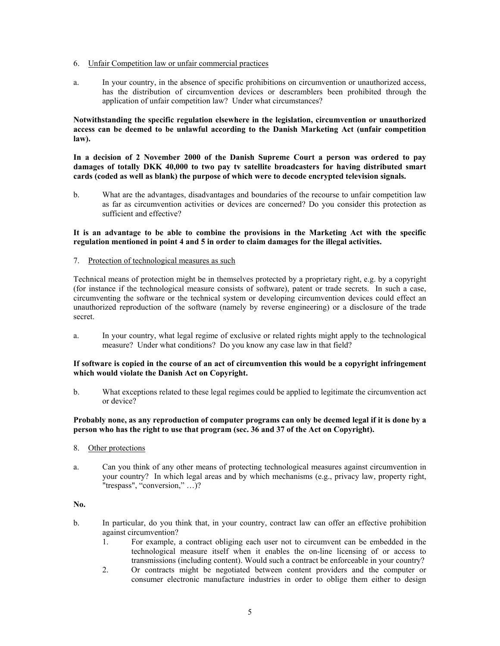- 6. Unfair Competition law or unfair commercial practices
- a. In your country, in the absence of specific prohibitions on circumvention or unauthorized access, has the distribution of circumvention devices or descramblers been prohibited through the application of unfair competition law? Under what circumstances?

**Notwithstanding the specific regulation elsewhere in the legislation, circumvention or unauthorized access can be deemed to be unlawful according to the Danish Marketing Act (unfair competition law).** 

**In a decision of 2 November 2000 of the Danish Supreme Court a person was ordered to pay damages of totally DKK 40,000 to two pay tv satellite broadcasters for having distributed smart cards (coded as well as blank) the purpose of which were to decode encrypted television signals.** 

b. What are the advantages, disadvantages and boundaries of the recourse to unfair competition law as far as circumvention activities or devices are concerned? Do you consider this protection as sufficient and effective?

## **It is an advantage to be able to combine the provisions in the Marketing Act with the specific regulation mentioned in point 4 and 5 in order to claim damages for the illegal activities.**

7. Protection of technological measures as such

Technical means of protection might be in themselves protected by a proprietary right, e.g. by a copyright (for instance if the technological measure consists of software), patent or trade secrets. In such a case, circumventing the software or the technical system or developing circumvention devices could effect an unauthorized reproduction of the software (namely by reverse engineering) or a disclosure of the trade secret.

a. In your country, what legal regime of exclusive or related rights might apply to the technological measure? Under what conditions? Do you know any case law in that field?

## **If software is copied in the course of an act of circumvention this would be a copyright infringement which would violate the Danish Act on Copyright.**

b. What exceptions related to these legal regimes could be applied to legitimate the circumvention act or device?

## **Probably none, as any reproduction of computer programs can only be deemed legal if it is done by a person who has the right to use that program (sec. 36 and 37 of the Act on Copyright).**

- 8. Other protections
- a. Can you think of any other means of protecting technological measures against circumvention in your country? In which legal areas and by which mechanisms (e.g., privacy law, property right, "trespass", "conversion," ...)?

# **No.**

- b. In particular, do you think that, in your country, contract law can offer an effective prohibition against circumvention?
	- 1. For example, a contract obliging each user not to circumvent can be embedded in the technological measure itself when it enables the on-line licensing of or access to transmissions (including content). Would such a contract be enforceable in your country?
	- 2. Or contracts might be negotiated between content providers and the computer or consumer electronic manufacture industries in order to oblige them either to design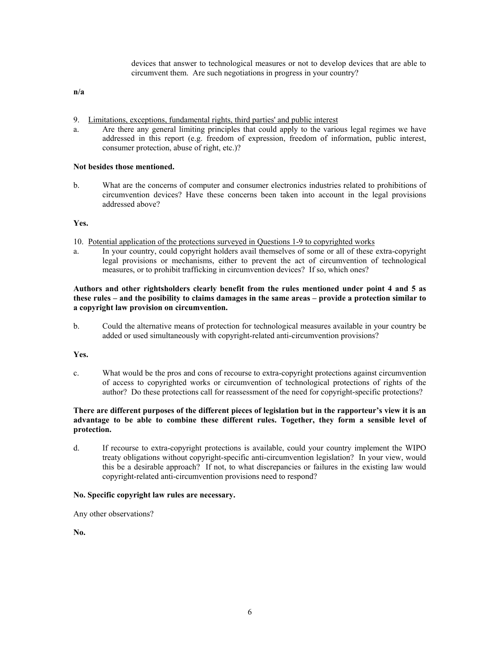devices that answer to technological measures or not to develop devices that are able to circumvent them. Are such negotiations in progress in your country?

**n/a** 

- 9. Limitations, exceptions, fundamental rights, third parties' and public interest
- a. Are there any general limiting principles that could apply to the various legal regimes we have addressed in this report (e.g. freedom of expression, freedom of information, public interest, consumer protection, abuse of right, etc.)?

## **Not besides those mentioned.**

b. What are the concerns of computer and consumer electronics industries related to prohibitions of circumvention devices? Have these concerns been taken into account in the legal provisions addressed above?

### **Yes.**

- 10. Potential application of the protections surveyed in Questions 1-9 to copyrighted works
- a. In your country, could copyright holders avail themselves of some or all of these extra-copyright legal provisions or mechanisms, either to prevent the act of circumvention of technological measures, or to prohibit trafficking in circumvention devices? If so, which ones?

# **Authors and other rightsholders clearly benefit from the rules mentioned under point 4 and 5 as these rules – and the posibility to claims damages in the same areas – provide a protection similar to a copyright law provision on circumvention.**

b. Could the alternative means of protection for technological measures available in your country be added or used simultaneously with copyright-related anti-circumvention provisions?

### **Yes.**

c. What would be the pros and cons of recourse to extra-copyright protections against circumvention of access to copyrighted works or circumvention of technological protections of rights of the author? Do these protections call for reassessment of the need for copyright-specific protections?

## **There are different purposes of the different pieces of legislation but in the rapporteur's view it is an advantage to be able to combine these different rules. Together, they form a sensible level of protection.**

d. If recourse to extra-copyright protections is available, could your country implement the WIPO treaty obligations without copyright-specific anti-circumvention legislation? In your view, would this be a desirable approach? If not, to what discrepancies or failures in the existing law would copyright-related anti-circumvention provisions need to respond?

### **No. Specific copyright law rules are necessary.**

Any other observations?

**No.**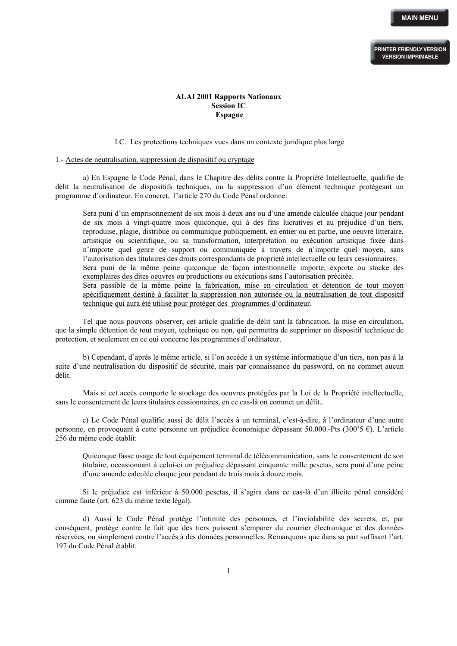# **ALAI 2001 Rapports Nationaux Session IC Espagne**

I.C. Les protections techniques vues dans un contexte juridique plus large

#### 1.- Actes de neutralisation, suppression de dispositif ou cryptage

a) En Espagne le Code Pénal, dans le Chapitre des délits contre la Propriété Intellectuelle, qualifie de délit la neutralisation de dispositifs techniques, ou la suppression d'un élément technique protégeant un programme d'ordinateur. En concret, l'article 270 du Code Pénal ordonne:

Sera puni d'un emprisonnement de six mois à deux ans ou d'une amende calculée chaque jour pendant de six mois à vingt-quatre mois quiconque, qui à des fins lucratives et au préjudice d'un tiers, reproduise, plagie, distribue ou communique publiquement, en entier ou en partie, une oeuvre littéraire, artistique ou scientifique, ou sa transformation, interprétation ou exécution artistique fixée dans n'importe quel genre de support ou communiquée à travers de n'importe quel moyen, sans l'autorisation des titulaires des droits correspondants de propriété intellectuelle ou leurs cessionnaires. Sera puni de la même peine quiconque de façon intentionnelle importe, exporte ou stocke des exemplaires des dites oeuvres ou productions ou exécutions sans l'autorisation précitée. Sera passible de la même peine la fabrication, mise en circulation et détention de tout moyen

spécifiquement destiné à faciliter la suppression non autorisée ou la neutralisation de tout dispositif technique qui aura été utilisé pour protéger des programmes d'ordinateur.

Tel que nous pouvons observer, cet article qualifie de délit tant la fabrication, la mise en circulation, que la simple détention de tout moyen, technique ou non, qui permettra de supprimer un dispositif technique de protection, et seulement en ce qui concerne les programmes d'ordinateur.

b) Cependant, d'après le même article, si l'on accède à un système informatique d'un tiers, non pas à la suite d'une neutralisation du dispositif de sécurité, mais par connaissance du password, on ne commet aucun délit.

Mais si cet accès comporte le stockage des oeuvres protégées par la Loi de la Propriété intellectuelle, sans le consentement de leurs titulaires cessionnaires, en ce cas-là on commet un délit..

c) Le Code Pénal qualifie aussi de délit l'accès à un terminal, c'est-à-dire, à l'ordinateur d'une autre personne, en provoquant à cette personne un préjudice économique dépassant 50.000.-Pts (300'5 €). L'article 256 du même code établit:

Quiconque fasse usage de tout équipement terminal de télécommunication, sans le consentement de son titulaire, occasionnant à celui-ci un préjudice dépassant cinquante mille pesetas, sera puni d'une peine d'une amende calculée chaque jour pendant de trois mois à douze mois.

Si le préjudice est inférieur à 50.000 pesetas, il s'agira dans ce cas-là d'un illicite pénal considéré comme faute (art. 623 du même texte légal).

d) Aussi le Code Pénal protége l'intimité des personnes, et l'inviolabilité des secrets, et, par conséquent, protége contre le fait que des tiers puissent s'emparer du courrier électronique et des données réservées, ou simplement contre l'accès à des données personnelles. Remarquons que dans sa part suffisant l'art. 197 du Code Pénal établit: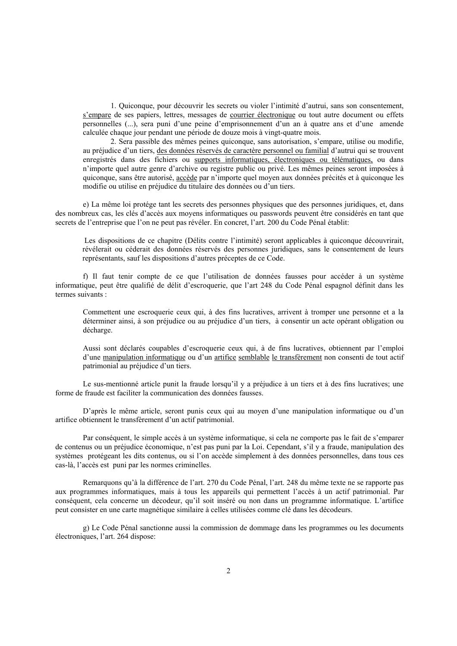1. Quiconque, pour découvrir les secrets ou violer l'intimité d'autrui, sans son consentement, s'empare de ses papiers, lettres, messages de courrier électronique ou tout autre document ou effets personnelles (...), sera puni d'une peine d'emprisonnement d'un an à quatre ans et d'une amende calculée chaque jour pendant une période de douze mois à vingt-quatre mois.

2. Sera passible des mêmes peines quiconque, sans autorisation, s'empare, utilise ou modifie, au préjudice d'un tiers, des données réservés de caractère personnel ou familial d'autrui qui se trouvent enregistrés dans des fichiers ou supports informatiques, électroniques ou télématiques, ou dans n'importe quel autre genre d'archive ou registre public ou privé. Les mêmes peines seront imposées à quiconque, sans être autorisé, accède par n'importe quel moyen aux données précités et à quiconque les modifie ou utilise en préjudice du titulaire des données ou d'un tiers.

e) La même loi protége tant les secrets des personnes physiques que des personnes juridiques, et, dans des nombreux cas, les clés d'accès aux moyens informatiques ou passwords peuvent être considérés en tant que secrets de l'entreprise que l'on ne peut pas révéler. En concret, l'art. 200 du Code Pénal établit:

Les dispositions de ce chapitre (Délits contre l'intimité) seront applicables à quiconque découvrirait, révélerait ou céderait des données réservés des personnes juridiques, sans le consentement de leurs représentants, sauf les dispositions d'autres préceptes de ce Code.

f) Il faut tenir compte de ce que l'utilisation de données fausses pour accéder à un système informatique, peut être qualifié de délit d'escroquerie, que l'art 248 du Code Pénal espagnol définit dans les termes suivants :

Commettent une escroquerie ceux qui, à des fins lucratives, arrivent à tromper une personne et a la déterminer ainsi, à son préjudice ou au préjudice d'un tiers, à consentir un acte opérant obligation ou décharge.

Aussi sont déclarés coupables d'escroquerie ceux qui, à de fins lucratives, obtiennent par l'emploi d'une manipulation informatique ou d'un artifice semblable le transfèrement non consenti de tout actif patrimonial au préjudice d'un tiers.

Le sus-mentionné article punit la fraude lorsqu'il y a préjudice à un tiers et à des fins lucratives; une forme de fraude est faciliter la communication des données fausses.

D'après le même article, seront punis ceux qui au moyen d'une manipulation informatique ou d'un artifice obtiennent le transfèrement d'un actif patrimonial.

Par conséquent, le simple accès à un système informatique, si cela ne comporte pas le fait de s'emparer de contenus ou un préjudice économique, n'est pas puni par la Loi. Cependant, s'il y a fraude, manipulation des systèmes protégeant les dits contenus, ou si l'on accède simplement à des données personnelles, dans tous ces cas-là, l'accès est puni par les normes criminelles.

Remarquons qu'à la différence de l'art. 270 du Code Pénal, l'art. 248 du même texte ne se rapporte pas aux programmes informatiques, mais à tous les appareils qui permettent l'accès à un actif patrimonial. Par conséquent, cela concerne un décodeur, qu'il soit inséré ou non dans un programme informatique. L'artifice peut consister en une carte magnétique similaire à celles utilisées comme clé dans les décodeurs.

g) Le Code Pénal sanctionne aussi la commission de dommage dans les programmes ou les documents électroniques, l'art. 264 dispose: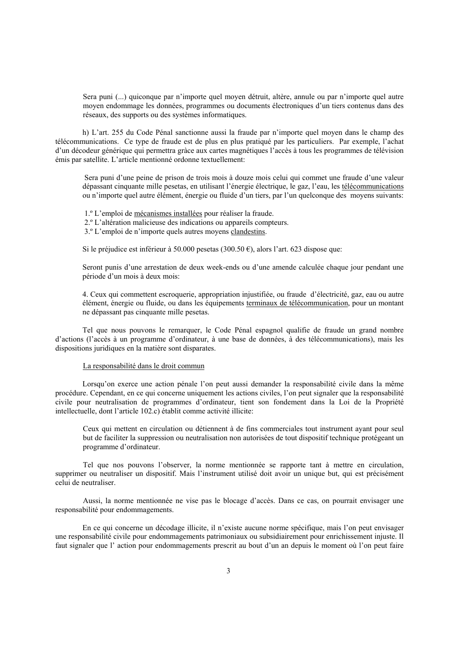Sera puni (...) quiconque par n'importe quel moyen détruit, altère, annule ou par n'importe quel autre moyen endommage les données, programmes ou documents électroniques d'un tiers contenus dans des réseaux, des supports ou des systèmes informatiques.

h) L'art. 255 du Code Pénal sanctionne aussi la fraude par n'importe quel moyen dans le champ des télécommunications. Ce type de fraude est de plus en plus pratiqué par les particuliers. Par exemple, l'achat d'un décodeur générique qui permettra gràce aux cartes magnétiques l'accès à tous les programmes de télévision émis par satellite. L'article mentionné ordonne textuellement:

Sera puni d'une peine de prison de trois mois à douze mois celui qui commet une fraude d'une valeur dépassant cinquante mille pesetas, en utilisant l'énergie électrique, le gaz, l'eau, les télécommunications ou n'importe quel autre élément, énergie ou fluide d'un tiers, par l'un quelconque des moyens suivants:

1.º L'emploi de mécanismes installées pour réaliser la fraude.

2.º L'altération malicieuse des indications ou appareils compteurs.

3.º L'emploi de n'importe quels autres moyens clandestins.

Si le préjudice est inférieur à 50.000 pesetas (300.50  $\epsilon$ ), alors l'art. 623 dispose que:

Seront punis d'une arrestation de deux week-ends ou d'une amende calculée chaque jour pendant une période d'un mois à deux mois:

4. Ceux qui commettent escroquerie, appropriation injustifiée, ou fraude d'électricité, gaz, eau ou autre élément, énergie ou fluide, ou dans les équipements terminaux de télécommunication, pour un montant ne dépassant pas cinquante mille pesetas.

Tel que nous pouvons le remarquer, le Code Pénal espagnol qualifie de fraude un grand nombre d'actions (l'accès à un programme d'ordinateur, à une base de données, à des télécommunications), mais les dispositions juridiques en la matière sont disparates.

#### La responsabilité dans le droit commun

Lorsqu'on exerce une action pénale l'on peut aussi demander la responsabilité civile dans la même procédure. Cependant, en ce qui concerne uniquement les actions civiles, l'on peut signaler que la responsabilité civile pour neutralisation de programmes d'ordinateur, tient son fondement dans la Loi de la Propriété intellectuelle, dont l'article 102.c) établit comme activité illicite:

Ceux qui mettent en circulation ou détiennent à de fins commerciales tout instrument ayant pour seul but de faciliter la suppression ou neutralisation non autorisées de tout dispositif technique protégeant un programme d'ordinateur.

Tel que nos pouvons l'observer, la norme mentionnée se rapporte tant à mettre en circulation, supprimer ou neutraliser un dispositif. Mais l'instrument utilisé doit avoir un unique but, qui est précisément celui de neutraliser.

Aussi, la norme mentionnée ne vise pas le blocage d'accès. Dans ce cas, on pourrait envisager une responsabilité pour endommagements.

En ce qui concerne un décodage illicite, il n'existe aucune norme spécifique, mais l'on peut envisager une responsabilité civile pour endommagements patrimoniaux ou subsidiairement pour enrichissement injuste. Il faut signaler que l' action pour endommagements prescrit au bout d'un an depuis le moment où l'on peut faire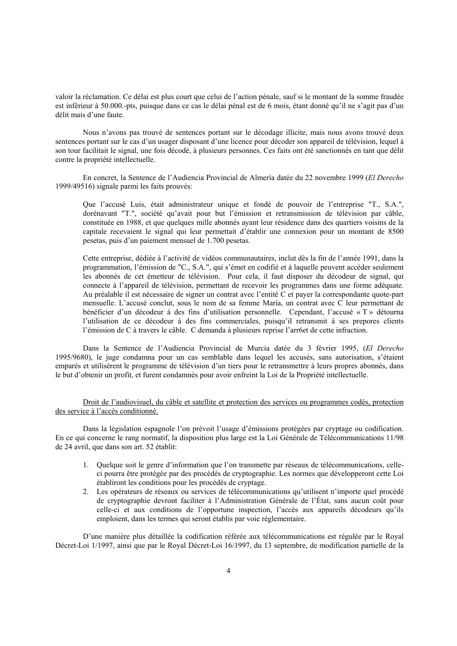valoir la réclamation. Ce délai est plus court que celui de l'action pénale, sauf si le montant de la somme fraudée est inférieur à 50.000.-pts, puisque dans ce cas le délai pénal est de 6 mois, étant donné qu'il ne s'agit pas d'un délit mais d'une faute.

Nous n'avons pas trouvé de sentences portant sur le décodage illicite, mais nous avons trouvé deux sentences portant sur le cas d'un usager disposant d'une licence pour décoder son appareil de télévision, lequel à son tour facilitait le signal, une fois décodé, à plusieurs personnes. Ces faits ont été sanctionnés en tant que délit contre la propriété intellectuelle.

En concret, la Sentence de l'Audiencia Provincial de Almería datée du 22 novembre 1999 (*El Derecho* 1999/49516) signale parmi les faits prouvés:

Que l'accusé Luis, était administrateur unique et fondé de pouvoir de l'entreprise "T., S.A.", dorénavant "T.", société qu'avait pour but l'émission et retransmission de télévision par câble, constituée en 1988, et que quelques mille abonnés ayant leur résidence dans des quartiers voisins de la capitale recevaient le signal qui leur permettait d'établir une connexion pour un montant de 8500 pesetas, puis d'un paiement mensuel de 1.700 pesetas.

Cette entreprise, dédiée à l'activité de vidéos communautaires, inclut dès la fin de l'année 1991, dans la programmation, l'émission de "C., S.A.", qui s'émet en codifié et à laquelle peuvent accéder seulement les abonnés de cet émetteur de télévision. Pour cela, il faut disposer du décodeur de signal, qui connecte à l'appareil de télévision, permettant de recevoir les programmes dans une forme adéquate. Au préalable il est nécessaire de signer un contrat avec l'entité C et payer la correspondante quote-part mensuelle. L'accusé conclut, sous le nom de sa femme María, un contrat avec C leur permettant de bénéficier d'un décodeur à des fins d'utilisation personnelle. Cependant, l'accusé « T » détourna l'utilisation de ce décodeur à des fins commerciales, puisqu'il retransmit à ses prepores clients l'émission de C à travers le câble. C demanda à plusieurs reprise l'arr6et de cette infraction.

Dans la Sentence de l'Audiencia Provincial de Murcia datée du 3 février 1995, (*El Derecho* 1995/9680), le juge condamna pour un cas semblable dans lequel les accusés, sans autorisation, s'étaient emparés et utilisèrent le programme de télévision d'un tiers pour le retransmettre à leurs propres abonnés, dans le but d'obtenir un profit, et furent condamnés pour avoir enfreint la Loi de la Propriété intellectuelle.

Droit de l'audiovisuel, du câble et satellite et protection des services ou programmes codés, protection des service à l'accès conditionné.

Dans la législation espagnole l'on prévoit l'usage d'émissions protégées par cryptage ou codification. En ce qui concerne le rang normatif, la disposition plus large est la Loi Générale de Télécommunications 11/98 de 24 avril, que dans son art. 52 établit:

- 1. Quelque soit le genre d'information que l'on transmette par réseaux de télécommunications, celleci pourra être protégée par des procédés de cryptographie. Les normes que développeront cette Loi établiront les conditions pour les procédés de cryptage.
- 2. Les opérateurs de réseaux ou services de télécommunications qu'utilisent n'importe quel procédé de cryptographie devront faciliter à l'Administration Générale de l'État, sans aucun coût pour celle-ci et aux conditions de l'opportune inspection, l'accès aux appareils décodeurs qu'ils emploient, dans les termes qui seront établis par voie réglementaire.

D'une manière plus détaillée la codification référée aux télécommunications est régulée par le Royal Décret-Loi 1/1997, ainsi que par le Royal Décret-Loi 16/1997, du 13 septembre, de modification partielle de la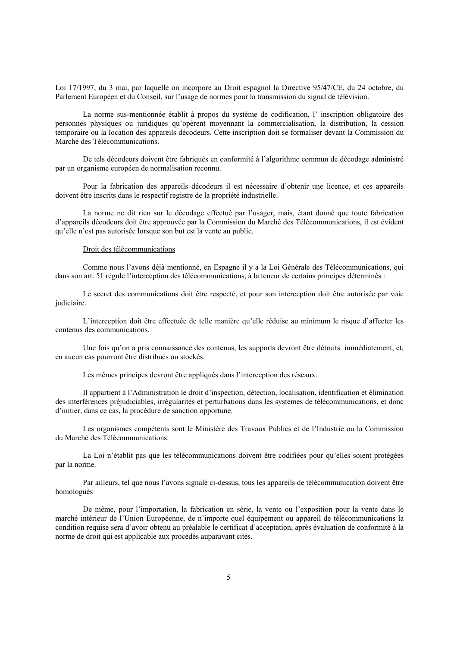Loi 17/1997, du 3 mai, par laquelle on incorpore au Droit espagnol la Directive 95/47/CE, du 24 octobre, du Parlement Européen et du Conseil, sur l'usage de normes pour la transmission du signal de télévision.

La norme sus-mentionnée établit à propos du système de codification, l' inscription obligatoire des personnes physiques ou juridiques qu'opèrent moyennant la commercialisation, la distribution, la cession temporaire ou la location des appareils décodeurs. Cette inscription doit se formaliser devant la Commission du Marché des Télécommunications.

De tels décodeurs doivent être fabriqués en conformité à l'algorithme commun de décodage administré par un organisme européen de normalisation reconnu.

Pour la fabrication des appareils décodeurs il est nécessaire d'obtenir une licence, et ces appareils doivent être inscrits dans le respectif registre de la propriété industrielle.

La norme ne dit rien sur le décodage effectué par l'usager, mais, étant donné que toute fabrication d'appareils décodeurs doit être approuvée par la Commission du Marché des Télécommunications, il est évident qu'elle n'est pas autorisée lorsque son but est la vente au public.

#### Droit des télécommunications

Comme nous l'avons déjà mentionné, en Espagne il y a la Loi Générale des Télécommunications, qui dans son art. 51 régule l'interception des télécommunications, à la teneur de certains principes déterminés :

Le secret des communications doit être respecté, et pour son interception doit être autorisée par voie judiciaire.

L'interception doit être effectuée de telle manière qu'elle réduise au minimum le risque d'affecter les contenus des communications.

Une fois qu'on a pris connaissance des contenus, les supports devront être détruits immédiatement, et, en aucun cas pourront être distribués ou stockés.

Les mêmes principes devront être appliqués dans l'interception des réseaux.

Il appartient à l'Administration le droit d'inspection, détection, localisation, identification et élimination des interférences préjudiciables, irrégularités et perturbations dans les systèmes de télécommunications, et donc d'initier, dans ce cas, la procédure de sanction opportune.

Les organismes compétents sont le Ministère des Travaux Publics et de l'Industrie ou la Commission du Marché des Télécommunications.

La Loi n'établit pas que les télécommunications doivent être codifiées pour qu'elles soient protégées par la norme.

Par ailleurs, tel que nous l'avons signalé ci-dessus, tous les appareils de télécommunication doivent être homologués

De même, pour l'importation, la fabrication en série, la vente ou l'exposition pour la vente dans le marché intérieur de l'Union Européenne, de n'importe quel équipement ou appareil de télécommunications la condition requise sera d'avoir obtenu au préalable le certificat d'acceptation, après évaluation de conformité à la norme de droit qui est applicable aux procédés auparavant cités.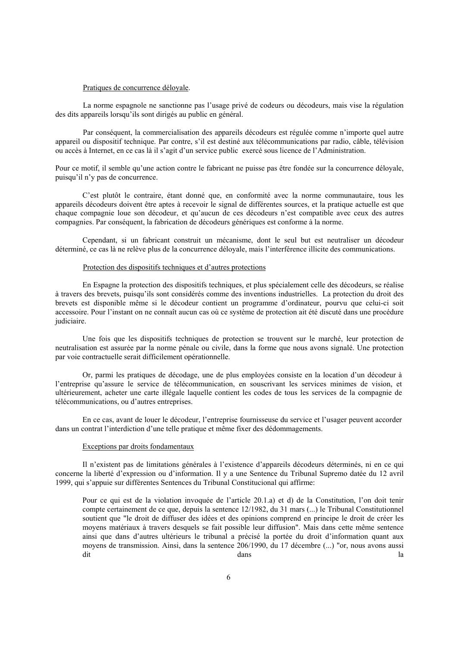### Pratiques de concurrence déloyale.

La norme espagnole ne sanctionne pas l'usage privé de codeurs ou décodeurs, mais vise la régulation des dits appareils lorsqu'ils sont dirigés au public en général.

Par conséquent, la commercialisation des appareils décodeurs est régulée comme n'importe quel autre appareil ou dispositif technique. Par contre, s'il est destiné aux télécommunications par radio, câble, télévision ou accès à Internet, en ce cas là il s'agit d'un service public exercé sous licence de l'Administration.

Pour ce motif, il semble qu'une action contre le fabricant ne puisse pas être fondée sur la concurrence déloyale, puisqu'il n'y pas de concurrence.

C'est plutôt le contraire, étant donné que, en conformité avec la norme communautaire, tous les appareils décodeurs doivent être aptes à recevoir le signal de différentes sources, et la pratique actuelle est que chaque compagnie loue son décodeur, et qu'aucun de ces décodeurs n'est compatible avec ceux des autres compagnies. Par conséquent, la fabrication de décodeurs génériques est conforme à la norme.

Cependant, si un fabricant construit un mécanisme, dont le seul but est neutraliser un décodeur déterminé, ce cas là ne relève plus de la concurrence déloyale, mais l'interférence illicite des communications.

# Protection des dispositifs techniques et d'autres protections

En Espagne la protection des dispositifs techniques, et plus spécialement celle des décodeurs, se réalise à travers des brevets, puisqu'ils sont considérés comme des inventions industrielles. La protection du droit des brevets est disponible même si le décodeur contient un programme d'ordinateur, pourvu que celui-ci soit accessoire. Pour l'instant on ne connaît aucun cas où ce système de protection ait été discuté dans une procédure judiciaire.

Une fois que les dispositifs techniques de protection se trouvent sur le marché, leur protection de neutralisation est assurée par la norme pénale ou civile, dans la forme que nous avons signalé. Une protection par voie contractuelle serait difficilement opérationnelle.

Or, parmi les pratiques de décodage, une de plus employées consiste en la location d'un décodeur à l'entreprise qu'assure le service de télécommunication, en souscrivant les services minimes de vision, et ultérieurement, acheter une carte illégale laquelle contient les codes de tous les services de la compagnie de télécommunications, ou d'autres entreprises.

En ce cas, avant de louer le décodeur, l'entreprise fournisseuse du service et l'usager peuvent accorder dans un contrat l'interdiction d'une telle pratique et même fixer des dédommagements.

#### Exceptions par droits fondamentaux

Il n'existent pas de limitations générales à l'existence d'appareils décodeurs déterminés, ni en ce qui concerne la liberté d'expression ou d'information. Il y a une Sentence du Tribunal Supremo datée du 12 avril 1999, qui s'appuie sur différentes Sentences du Tribunal Constitucional qui affirme:

Pour ce qui est de la violation invoquée de l'article 20.1.a) et d) de la Constitution, l'on doit tenir compte certainement de ce que, depuis la sentence 12/1982, du 31 mars (...) le Tribunal Constitutionnel soutient que "le droit de diffuser des idées et des opinions comprend en principe le droit de créer les moyens matériaux à travers desquels se fait possible leur diffusion". Mais dans cette même sentence ainsi que dans d'autres ultérieurs le tribunal a précisé la portée du droit d'information quant aux moyens de transmission. Ainsi, dans la sentence 206/1990, du 17 décembre (...) "or, nous avons aussi dit and the contract of the contract of the contract of the contract of the contract of the contract of the contract of the contract of the contract of the contract of the contract of the contract of the contract of the co